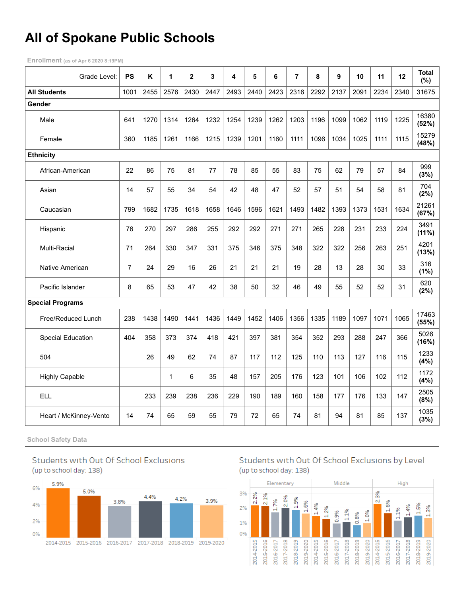# **All of Spokane Public Schools**

**Enrollment (as of Apr 6 2020 8:19PM)**

| Grade Level:             | <b>PS</b> | Κ    | 1            | $\overline{\mathbf{2}}$ | 3    | 4    | 5    | 6    | $\overline{7}$ | 8    | 9    | 10   | 11   | 12   | <b>Total</b><br>$(\%)$ |
|--------------------------|-----------|------|--------------|-------------------------|------|------|------|------|----------------|------|------|------|------|------|------------------------|
| <b>All Students</b>      | 1001      | 2455 | 2576         | 2430                    | 2447 | 2493 | 2440 | 2423 | 2316           | 2292 | 2137 | 2091 | 2234 | 2340 | 31675                  |
| Gender                   |           |      |              |                         |      |      |      |      |                |      |      |      |      |      |                        |
| Male                     | 641       | 1270 | 1314         | 1264                    | 1232 | 1254 | 1239 | 1262 | 1203           | 1196 | 1099 | 1062 | 1119 | 1225 | 16380<br>(52%)         |
| Female                   | 360       | 1185 | 1261         | 1166                    | 1215 | 1239 | 1201 | 1160 | 1111           | 1096 | 1034 | 1025 | 1111 | 1115 | 15279<br>(48%)         |
| <b>Ethnicity</b>         |           |      |              |                         |      |      |      |      |                |      |      |      |      |      |                        |
| African-American         | 22        | 86   | 75           | 81                      | 77   | 78   | 85   | 55   | 83             | 75   | 62   | 79   | 57   | 84   | 999<br>(3%)            |
| Asian                    | 14        | 57   | 55           | 34                      | 54   | 42   | 48   | 47   | 52             | 57   | 51   | 54   | 58   | 81   | 704<br>(2%)            |
| Caucasian                | 799       | 1682 | 1735         | 1618                    | 1658 | 1646 | 1596 | 1621 | 1493           | 1482 | 1393 | 1373 | 1531 | 1634 | 21261<br>(67%)         |
| Hispanic                 | 76        | 270  | 297          | 286                     | 255  | 292  | 292  | 271  | 271            | 265  | 228  | 231  | 233  | 224  | 3491<br>(11%)          |
| Multi-Racial             | 71        | 264  | 330          | 347                     | 331  | 375  | 346  | 375  | 348            | 322  | 322  | 256  | 263  | 251  | 4201<br>(13%)          |
| Native American          | 7         | 24   | 29           | 16                      | 26   | 21   | 21   | 21   | 19             | 28   | 13   | 28   | 30   | 33   | 316<br>(1%)            |
| Pacific Islander         | 8         | 65   | 53           | 47                      | 42   | 38   | 50   | 32   | 46             | 49   | 55   | 52   | 52   | 31   | 620<br>(2%)            |
| <b>Special Programs</b>  |           |      |              |                         |      |      |      |      |                |      |      |      |      |      |                        |
| Free/Reduced Lunch       | 238       | 1438 | 1490         | 1441                    | 1436 | 1449 | 1452 | 1406 | 1356           | 1335 | 1189 | 1097 | 1071 | 1065 | 17463<br>(55%)         |
| <b>Special Education</b> | 404       | 358  | 373          | 374                     | 418  | 421  | 397  | 381  | 354            | 352  | 293  | 288  | 247  | 366  | 5026<br>(16%)          |
| 504                      |           | 26   | 49           | 62                      | 74   | 87   | 117  | 112  | 125            | 110  | 113  | 127  | 116  | 115  | 1233<br>(4% )          |
| <b>Highly Capable</b>    |           |      | $\mathbf{1}$ | 6                       | 35   | 48   | 157  | 205  | 176            | 123  | 101  | 106  | 102  | 112  | 1172<br>(4%)           |
| <b>ELL</b>               |           | 233  | 239          | 238                     | 236  | 229  | 190  | 189  | 160            | 158  | 177  | 176  | 133  | 147  | 2505<br>(8%)           |
| Heart / McKinney-Vento   | 14        | 74   | 65           | 59                      | 55   | 79   | 72   | 65   | 74             | 81   | 94   | 81   | 85   | 137  | 1035<br>(3%)           |

**School Safety Data**



2% 0%

2014-2015 2015-2016 2016-2017 2017-2018 2018-2019 2019-2020

Students with Out Of School Exclusions by Level (up to school day: 138)

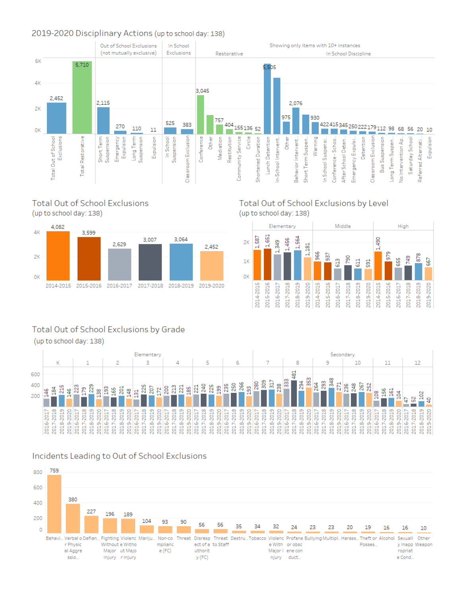#### 2019-2020 Disciplinary Actions (up to school day: 138)







#### Total Out of School Exclusions by Level (up to school day: 138)



### Total Out of School Exclusions by Grade

(up to school day: 138)



### Incidents Leading to Out of School Exclusions

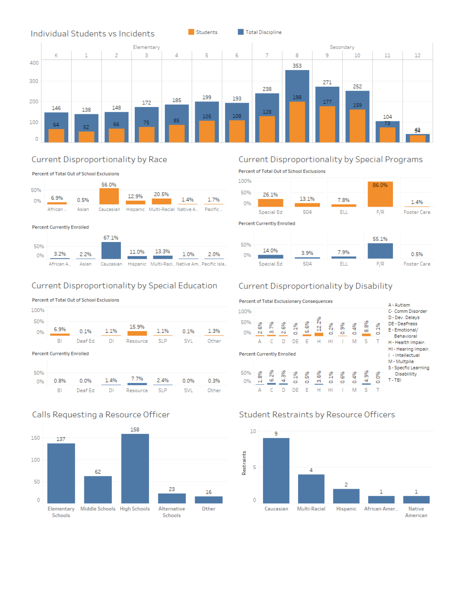

Students

Total Discipline



#### Current Disproportionality by Race

Percent of Total Out of School Exclusions



#### **Percent Currently Enrolled**



#### Current Disproportionality by Special Education

Percent of Total Out of School Exclusions



**Percent Currently Enrolled** 



#### Calls Requesting a Resource Officer



## Current Disproportionality by Special Programs

Percent of Total Out of School Exclusions



### Current Disproportionality by Disability



## Student Restraints by Resource Officers